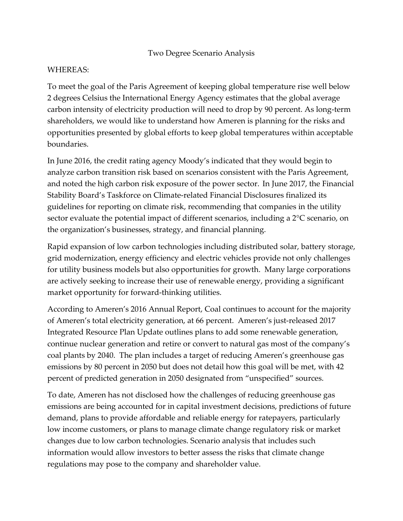## Two Degree Scenario Analysis

## WHEREAS:

To meet the goal of the Paris Agreement of keeping global temperature rise well below 2 degrees Celsius the International Energy Agency estimates that the global average carbon intensity of electricity production will need to drop by 90 percent. As long-term shareholders, we would like to understand how Ameren is planning for the risks and opportunities presented by global efforts to keep global temperatures within acceptable boundaries.

In June 2016, the credit rating agency Moody's indicated that they would begin to analyze carbon transition risk based on scenarios consistent with the Paris Agreement, and noted the high carbon risk exposure of the power sector. In June 2017, the Financial Stability Board's Taskforce on Climate-related Financial Disclosures finalized its guidelines for reporting on climate risk, recommending that companies in the utility sector evaluate the potential impact of different scenarios, including a 2°C scenario, on the organization's businesses, strategy, and financial planning.

Rapid expansion of low carbon technologies including distributed solar, battery storage, grid modernization, energy efficiency and electric vehicles provide not only challenges for utility business models but also opportunities for growth. Many large corporations are actively seeking to increase their use of renewable energy, providing a significant market opportunity for forward-thinking utilities.

According to Ameren's 2016 Annual Report, Coal continues to account for the majority of Ameren's total electricity generation, at 66 percent. Ameren's just-released 2017 Integrated Resource Plan Update outlines plans to add some renewable generation, continue nuclear generation and retire or convert to natural gas most of the company's coal plants by 2040. The plan includes a target of reducing Ameren's greenhouse gas emissions by 80 percent in 2050 but does not detail how this goal will be met, with 42 percent of predicted generation in 2050 designated from "unspecified" sources.

To date, Ameren has not disclosed how the challenges of reducing greenhouse gas emissions are being accounted for in capital investment decisions, predictions of future demand, plans to provide affordable and reliable energy for ratepayers, particularly low income customers, or plans to manage climate change regulatory risk or market changes due to low carbon technologies. Scenario analysis that includes such information would allow investors to better assess the risks that climate change regulations may pose to the company and shareholder value.